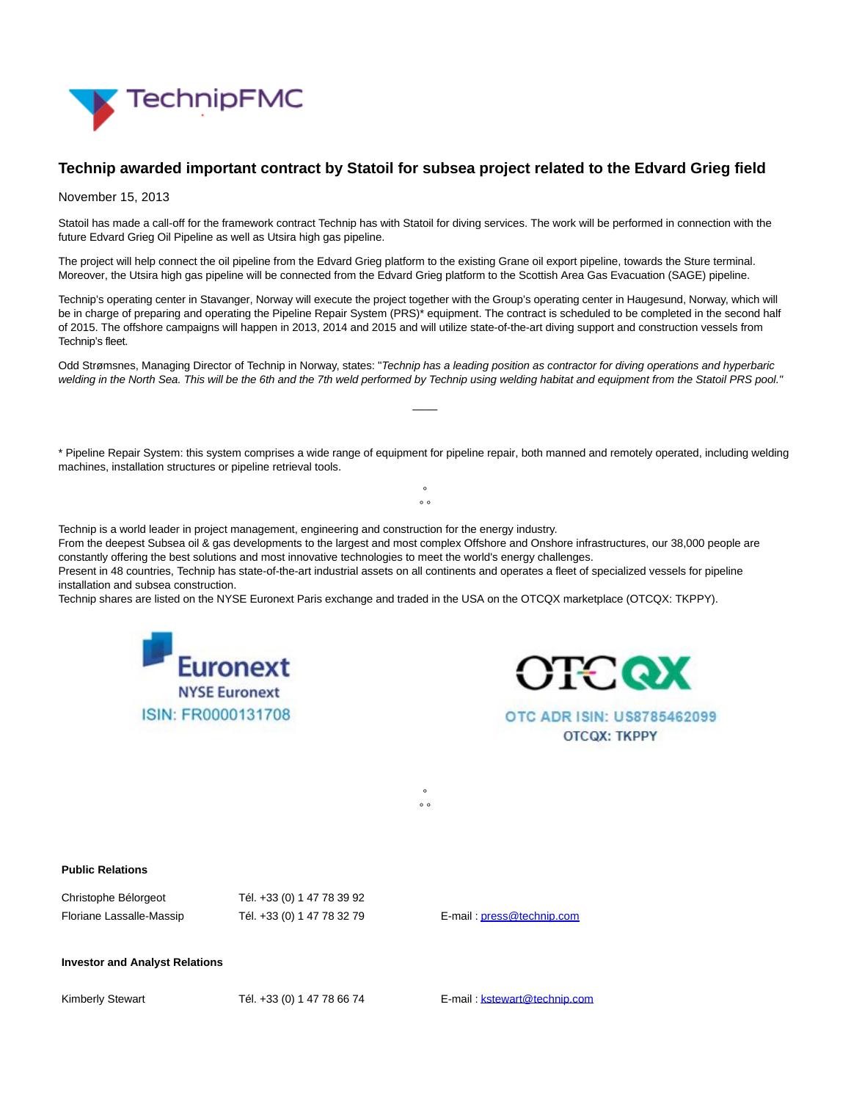

## **Technip awarded important contract by Statoil for subsea project related to the Edvard Grieg field**

## November 15, 2013

Statoil has made a call-off for the framework contract Technip has with Statoil for diving services. The work will be performed in connection with the future Edvard Grieg Oil Pipeline as well as Utsira high gas pipeline.

The project will help connect the oil pipeline from the Edvard Grieg platform to the existing Grane oil export pipeline, towards the Sture terminal. Moreover, the Utsira high gas pipeline will be connected from the Edvard Grieg platform to the Scottish Area Gas Evacuation (SAGE) pipeline.

Technip's operating center in Stavanger, Norway will execute the project together with the Group's operating center in Haugesund, Norway, which will be in charge of preparing and operating the Pipeline Repair System (PRS)\* equipment. The contract is scheduled to be completed in the second half of 2015. The offshore campaigns will happen in 2013, 2014 and 2015 and will utilize state-of-the-art diving support and construction vessels from Technip's fleet.

Odd Strømsnes, Managing Director of Technip in Norway, states: "Technip has a leading position as contractor for diving operations and hyperbaric welding in the North Sea. This will be the 6th and the 7th weld performed by Technip using welding habitat and equipment from the Statoil PRS pool."

 $\overline{\phantom{a}}$ 

\* Pipeline Repair System: this system comprises a wide range of equipment for pipeline repair, both manned and remotely operated, including welding machines, installation structures or pipeline retrieval tools. °

 $\circ$ 

°  $\circ$ 

Technip is a world leader in project management, engineering and construction for the energy industry.

From the deepest Subsea oil & gas developments to the largest and most complex Offshore and Onshore infrastructures, our 38,000 people are constantly offering the best solutions and most innovative technologies to meet the world's energy challenges. Present in 48 countries, Technip has state-of-the-art industrial assets on all continents and operates a fleet of specialized vessels for pipeline

installation and subsea construction.

Technip shares are listed on the NYSE Euronext Paris exchange and traded in the USA on the OTCQX marketplace (OTCQX: TKPPY).





OTC ADR ISIN: US8785462099 **OTCQX: TKPPY** 

## **Public Relations**

| Christophe Bélorgeot     | Tél. +33 (0) 1 47 78 39 92 |
|--------------------------|----------------------------|
| Floriane Lassalle-Massip | Tél. +33 (0) 1 47 78 32 79 |

E-mail[: press@technip.com](mailto:press@technip.com)

## **Investor and Analyst Relations**

Kimberly Stewart Tél. +33 (0) 1 47 78 66 74 E-mail[: kstewart@technip.com](mailto:kstewart@technip.com)